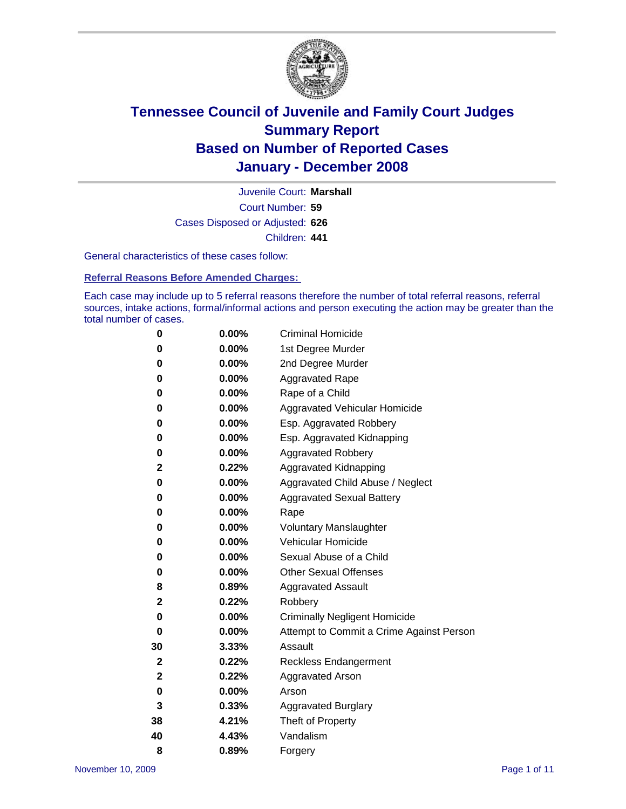

Court Number: **59** Juvenile Court: **Marshall** Cases Disposed or Adjusted: **626** Children: **441**

General characteristics of these cases follow:

**Referral Reasons Before Amended Charges:** 

Each case may include up to 5 referral reasons therefore the number of total referral reasons, referral sources, intake actions, formal/informal actions and person executing the action may be greater than the total number of cases.

| 0  | 0.00%    | <b>Criminal Homicide</b>                 |
|----|----------|------------------------------------------|
| 0  | 0.00%    | 1st Degree Murder                        |
| 0  | $0.00\%$ | 2nd Degree Murder                        |
| 0  | 0.00%    | <b>Aggravated Rape</b>                   |
| 0  | 0.00%    | Rape of a Child                          |
| 0  | 0.00%    | Aggravated Vehicular Homicide            |
| 0  | 0.00%    | Esp. Aggravated Robbery                  |
| 0  | 0.00%    | Esp. Aggravated Kidnapping               |
| 0  | 0.00%    | <b>Aggravated Robbery</b>                |
| 2  | 0.22%    | Aggravated Kidnapping                    |
| 0  | 0.00%    | Aggravated Child Abuse / Neglect         |
| 0  | $0.00\%$ | <b>Aggravated Sexual Battery</b>         |
| 0  | 0.00%    | Rape                                     |
| 0  | 0.00%    | <b>Voluntary Manslaughter</b>            |
| 0  | 0.00%    | Vehicular Homicide                       |
| 0  | 0.00%    | Sexual Abuse of a Child                  |
| 0  | 0.00%    | <b>Other Sexual Offenses</b>             |
| 8  | 0.89%    | <b>Aggravated Assault</b>                |
| 2  | 0.22%    | Robbery                                  |
| 0  | 0.00%    | <b>Criminally Negligent Homicide</b>     |
| 0  | 0.00%    | Attempt to Commit a Crime Against Person |
| 30 | 3.33%    | Assault                                  |
| 2  | 0.22%    | <b>Reckless Endangerment</b>             |
| 2  | 0.22%    | <b>Aggravated Arson</b>                  |
| 0  | 0.00%    | Arson                                    |
| 3  | 0.33%    | <b>Aggravated Burglary</b>               |
| 38 | 4.21%    | Theft of Property                        |
| 40 | 4.43%    | Vandalism                                |
| 8  | 0.89%    | Forgery                                  |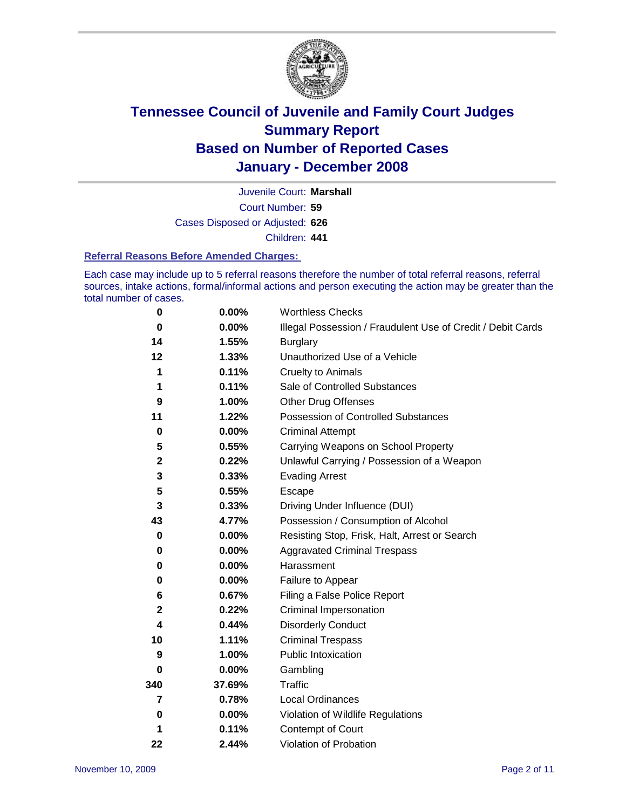

Court Number: **59** Juvenile Court: **Marshall** Cases Disposed or Adjusted: **626** Children: **441**

### **Referral Reasons Before Amended Charges:**

Each case may include up to 5 referral reasons therefore the number of total referral reasons, referral sources, intake actions, formal/informal actions and person executing the action may be greater than the total number of cases.

| 0           | 0.00%    | <b>Worthless Checks</b>                                     |  |  |  |
|-------------|----------|-------------------------------------------------------------|--|--|--|
| $\bf{0}$    | 0.00%    | Illegal Possession / Fraudulent Use of Credit / Debit Cards |  |  |  |
| 14          | 1.55%    | <b>Burglary</b>                                             |  |  |  |
| 12          | 1.33%    | Unauthorized Use of a Vehicle                               |  |  |  |
| 1           | 0.11%    | <b>Cruelty to Animals</b>                                   |  |  |  |
| 1           | 0.11%    | Sale of Controlled Substances                               |  |  |  |
| 9           | 1.00%    | <b>Other Drug Offenses</b>                                  |  |  |  |
| 11          | 1.22%    | <b>Possession of Controlled Substances</b>                  |  |  |  |
| $\mathbf 0$ | 0.00%    | <b>Criminal Attempt</b>                                     |  |  |  |
| 5           | 0.55%    | Carrying Weapons on School Property                         |  |  |  |
| $\mathbf 2$ | 0.22%    | Unlawful Carrying / Possession of a Weapon                  |  |  |  |
| 3           | 0.33%    | <b>Evading Arrest</b>                                       |  |  |  |
| 5           | 0.55%    | Escape                                                      |  |  |  |
| 3           | 0.33%    | Driving Under Influence (DUI)                               |  |  |  |
| 43          | 4.77%    | Possession / Consumption of Alcohol                         |  |  |  |
| 0           | 0.00%    | Resisting Stop, Frisk, Halt, Arrest or Search               |  |  |  |
| 0           | $0.00\%$ | <b>Aggravated Criminal Trespass</b>                         |  |  |  |
| 0           | 0.00%    | Harassment                                                  |  |  |  |
| 0           | $0.00\%$ | Failure to Appear                                           |  |  |  |
| 6           | 0.67%    | Filing a False Police Report                                |  |  |  |
| $\mathbf 2$ | 0.22%    | Criminal Impersonation                                      |  |  |  |
| 4           | 0.44%    | <b>Disorderly Conduct</b>                                   |  |  |  |
| 10          | 1.11%    | <b>Criminal Trespass</b>                                    |  |  |  |
| 9           | 1.00%    | <b>Public Intoxication</b>                                  |  |  |  |
| 0           | 0.00%    | Gambling                                                    |  |  |  |
| 340         | 37.69%   | Traffic                                                     |  |  |  |
| 7           | 0.78%    | <b>Local Ordinances</b>                                     |  |  |  |
| 0           | $0.00\%$ | Violation of Wildlife Regulations                           |  |  |  |
| 1           | 0.11%    | Contempt of Court                                           |  |  |  |
| 22          | 2.44%    | Violation of Probation                                      |  |  |  |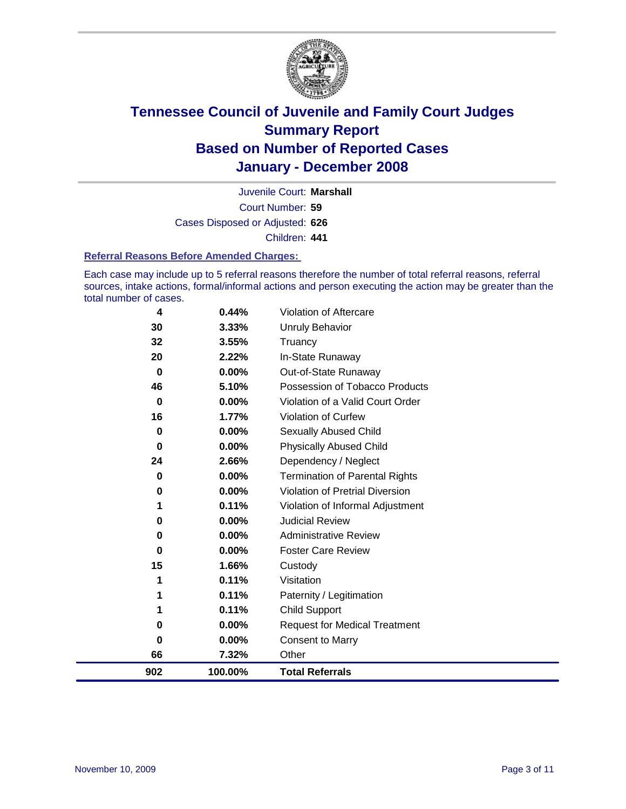

Court Number: **59** Juvenile Court: **Marshall** Cases Disposed or Adjusted: **626** Children: **441**

### **Referral Reasons Before Amended Charges:**

Each case may include up to 5 referral reasons therefore the number of total referral reasons, referral sources, intake actions, formal/informal actions and person executing the action may be greater than the total number of cases.

| 902      | 100.00%  | <b>Total Referrals</b>                 |
|----------|----------|----------------------------------------|
| 66       | 7.32%    | Other                                  |
| 0        | 0.00%    | <b>Consent to Marry</b>                |
| 0        | $0.00\%$ | <b>Request for Medical Treatment</b>   |
| 1        | 0.11%    | <b>Child Support</b>                   |
| 1        | 0.11%    | Paternity / Legitimation               |
| 1        | 0.11%    | Visitation                             |
| 15       | 1.66%    | Custody                                |
| 0        | $0.00\%$ | <b>Foster Care Review</b>              |
| 0        | $0.00\%$ | <b>Administrative Review</b>           |
| 0        | 0.00%    | <b>Judicial Review</b>                 |
| 1        | 0.11%    | Violation of Informal Adjustment       |
| 0        | $0.00\%$ | <b>Violation of Pretrial Diversion</b> |
| 0        | 0.00%    | <b>Termination of Parental Rights</b>  |
| 24       | 2.66%    | Dependency / Neglect                   |
| 0        | $0.00\%$ | <b>Physically Abused Child</b>         |
| 0        | 0.00%    | <b>Sexually Abused Child</b>           |
| 16       | 1.77%    | <b>Violation of Curfew</b>             |
| $\bf{0}$ | 0.00%    | Violation of a Valid Court Order       |
| 46       | 5.10%    | Possession of Tobacco Products         |
| $\bf{0}$ | $0.00\%$ | Out-of-State Runaway                   |
| 20       | 2.22%    | In-State Runaway                       |
| 32       | 3.55%    | Truancy                                |
| 30       | 3.33%    | <b>Unruly Behavior</b>                 |
| 4        | 0.44%    | Violation of Aftercare                 |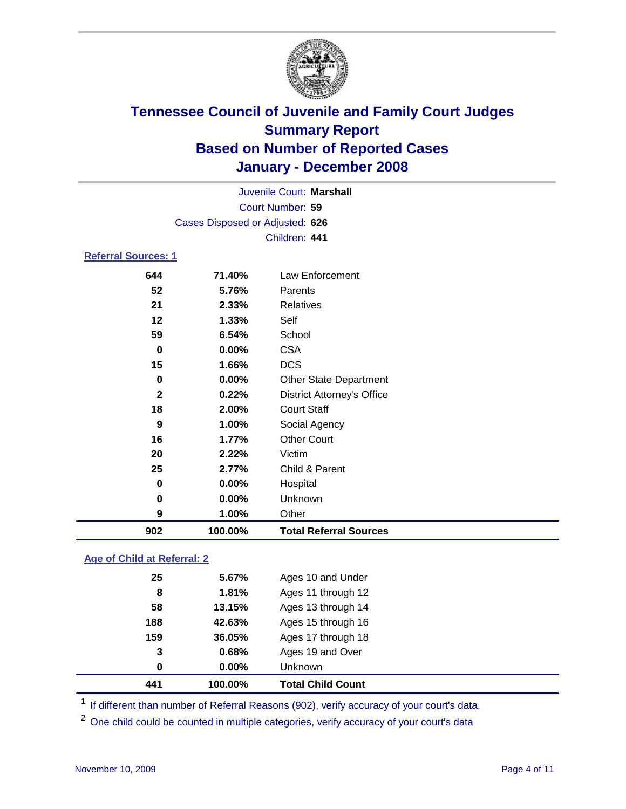

| Juvenile Court: Marshall        |  |
|---------------------------------|--|
| Court Number: 59                |  |
| Cases Disposed or Adjusted: 626 |  |
| Children: 441                   |  |

### **Referral Sources: 1**

| 644          | 71.40%  | Law Enforcement                   |
|--------------|---------|-----------------------------------|
| 52           | 5.76%   | Parents                           |
| 21           | 2.33%   | Relatives                         |
| 12           | 1.33%   | Self                              |
| 59           | 6.54%   | School                            |
| 0            | 0.00%   | <b>CSA</b>                        |
| 15           | 1.66%   | <b>DCS</b>                        |
| 0            | 0.00%   | <b>Other State Department</b>     |
| $\mathbf{2}$ | 0.22%   | <b>District Attorney's Office</b> |
| 18           | 2.00%   | <b>Court Staff</b>                |
| 9            | 1.00%   | Social Agency                     |
| 16           | 1.77%   | <b>Other Court</b>                |
| 20           | 2.22%   | Victim                            |
| 25           | 2.77%   | Child & Parent                    |
| $\bf{0}$     | 0.00%   | Hospital                          |
| 0            | 0.00%   | Unknown                           |
| 9            | 1.00%   | Other                             |
| 902          | 100.00% | <b>Total Referral Sources</b>     |

### **Age of Child at Referral: 2**

| 441 | 100.00% | <b>Total Child Count</b> |
|-----|---------|--------------------------|
| 0   | 0.00%   | <b>Unknown</b>           |
| 3   | 0.68%   | Ages 19 and Over         |
| 159 | 36.05%  | Ages 17 through 18       |
| 188 | 42.63%  | Ages 15 through 16       |
| 58  | 13.15%  | Ages 13 through 14       |
| 8   | 1.81%   | Ages 11 through 12       |
| 25  | 5.67%   | Ages 10 and Under        |
|     |         |                          |

<sup>1</sup> If different than number of Referral Reasons (902), verify accuracy of your court's data.

One child could be counted in multiple categories, verify accuracy of your court's data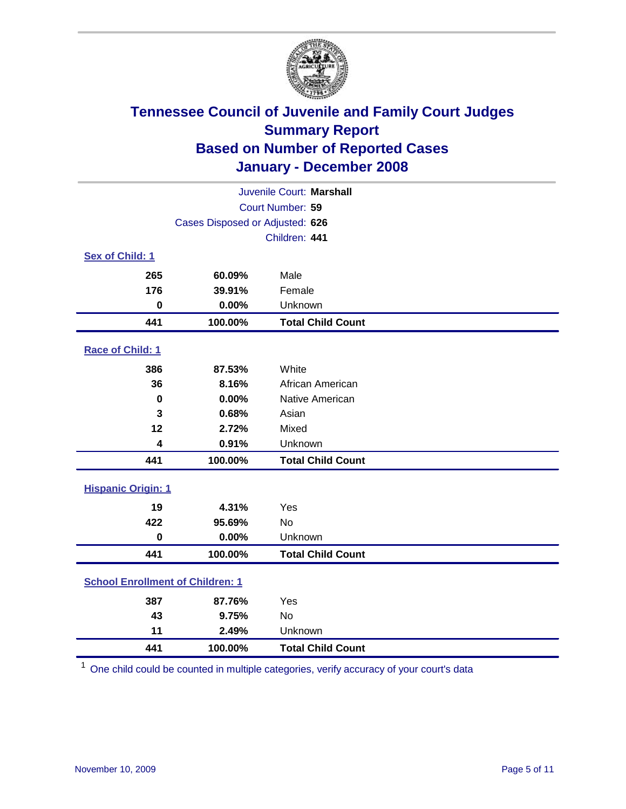

| Juvenile Court: Marshall                |                                 |                          |  |  |  |
|-----------------------------------------|---------------------------------|--------------------------|--|--|--|
|                                         | Court Number: 59                |                          |  |  |  |
|                                         | Cases Disposed or Adjusted: 626 |                          |  |  |  |
|                                         |                                 | Children: 441            |  |  |  |
| Sex of Child: 1                         |                                 |                          |  |  |  |
| 265                                     | 60.09%                          | Male                     |  |  |  |
| 176                                     | 39.91%                          | Female                   |  |  |  |
| $\bf{0}$                                | 0.00%                           | Unknown                  |  |  |  |
| 441                                     | 100.00%                         | <b>Total Child Count</b> |  |  |  |
| <b>Race of Child: 1</b>                 |                                 |                          |  |  |  |
| 386                                     | 87.53%                          | White                    |  |  |  |
| 36                                      | 8.16%                           | African American         |  |  |  |
| 0                                       | 0.00%                           | Native American          |  |  |  |
| 3                                       | 0.68%                           | Asian                    |  |  |  |
| 12                                      | 2.72%                           | Mixed                    |  |  |  |
| 4                                       | 0.91%                           | Unknown                  |  |  |  |
| 441                                     | 100.00%                         | <b>Total Child Count</b> |  |  |  |
| <b>Hispanic Origin: 1</b>               |                                 |                          |  |  |  |
| 19                                      | 4.31%                           | Yes                      |  |  |  |
| 422                                     | 95.69%                          | <b>No</b>                |  |  |  |
| $\mathbf 0$                             | 0.00%                           | Unknown                  |  |  |  |
| 441                                     | 100.00%                         | <b>Total Child Count</b> |  |  |  |
| <b>School Enrollment of Children: 1</b> |                                 |                          |  |  |  |
| 387                                     | 87.76%                          | Yes                      |  |  |  |
| 43                                      | 9.75%                           | No                       |  |  |  |
| 11                                      | 2.49%                           | Unknown                  |  |  |  |
| 441                                     | 100.00%                         | <b>Total Child Count</b> |  |  |  |

One child could be counted in multiple categories, verify accuracy of your court's data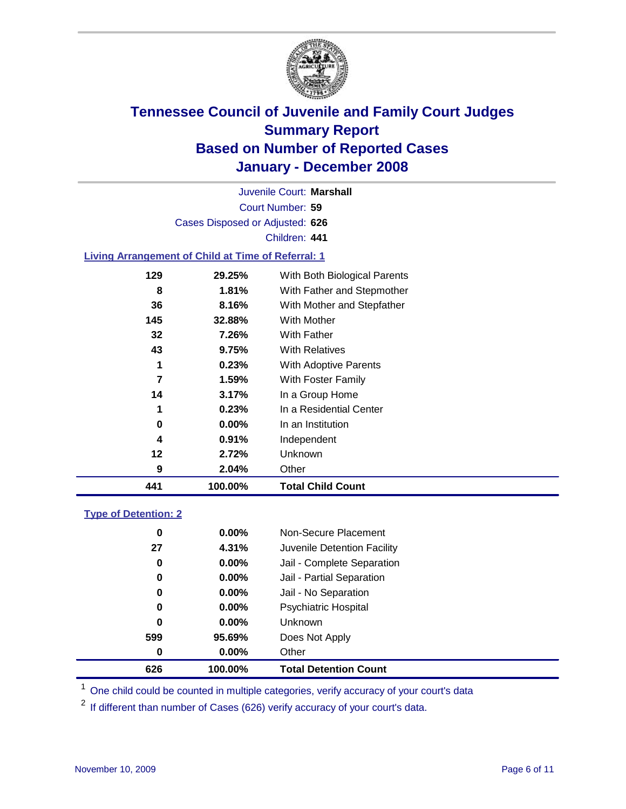

Court Number: **59** Juvenile Court: **Marshall** Cases Disposed or Adjusted: **626** Children: **441**

### **Living Arrangement of Child at Time of Referral: 1**

| 441 | 100.00%  | <b>Total Child Count</b>     |
|-----|----------|------------------------------|
| 9   | 2.04%    | Other                        |
| 12  | 2.72%    | Unknown                      |
| 4   | 0.91%    | Independent                  |
| 0   | $0.00\%$ | In an Institution            |
| 1   | 0.23%    | In a Residential Center      |
| 14  | 3.17%    | In a Group Home              |
| 7   | $1.59\%$ | With Foster Family           |
| 1   | 0.23%    | With Adoptive Parents        |
| 43  | 9.75%    | <b>With Relatives</b>        |
| 32  | 7.26%    | <b>With Father</b>           |
| 145 | 32.88%   | With Mother                  |
| 36  | 8.16%    | With Mother and Stepfather   |
| 8   | 1.81%    | With Father and Stepmother   |
| 129 | 29.25%   | With Both Biological Parents |

### **Type of Detention: 2**

| 626 | 100.00%  | <b>Total Detention Count</b> |
|-----|----------|------------------------------|
| 0   | $0.00\%$ | Other                        |
| 599 | 95.69%   | Does Not Apply               |
| 0   | $0.00\%$ | <b>Unknown</b>               |
| 0   | $0.00\%$ | <b>Psychiatric Hospital</b>  |
| 0   | $0.00\%$ | Jail - No Separation         |
| 0   | $0.00\%$ | Jail - Partial Separation    |
| 0   | $0.00\%$ | Jail - Complete Separation   |
| 27  | 4.31%    | Juvenile Detention Facility  |
| 0   | $0.00\%$ | Non-Secure Placement         |
|     |          |                              |

<sup>1</sup> One child could be counted in multiple categories, verify accuracy of your court's data

<sup>2</sup> If different than number of Cases (626) verify accuracy of your court's data.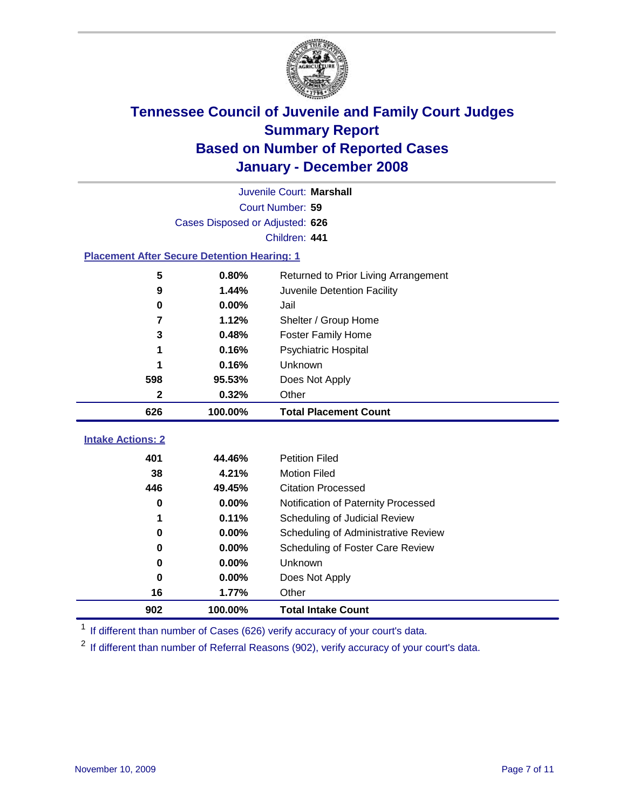

|                                                    | Juvenile Court: Marshall        |                                      |  |  |  |
|----------------------------------------------------|---------------------------------|--------------------------------------|--|--|--|
| Court Number: 59                                   |                                 |                                      |  |  |  |
|                                                    | Cases Disposed or Adjusted: 626 |                                      |  |  |  |
| Children: 441                                      |                                 |                                      |  |  |  |
| <b>Placement After Secure Detention Hearing: 1</b> |                                 |                                      |  |  |  |
| 5                                                  | 0.80%                           | Returned to Prior Living Arrangement |  |  |  |
| 9                                                  | 1.44%                           | Juvenile Detention Facility          |  |  |  |
| 0                                                  | 0.00%                           | Jail                                 |  |  |  |
| 7                                                  | 1.12%                           | Shelter / Group Home                 |  |  |  |
| 3                                                  | 0.48%                           | <b>Foster Family Home</b>            |  |  |  |
| 1                                                  | 0.16%                           | Psychiatric Hospital                 |  |  |  |
|                                                    | 0.16%                           | Unknown                              |  |  |  |
| 598                                                | 95.53%                          | Does Not Apply                       |  |  |  |
| $\mathbf 2$                                        | 0.32%                           | Other                                |  |  |  |
| 626                                                | 100.00%                         | <b>Total Placement Count</b>         |  |  |  |
| <b>Intake Actions: 2</b>                           |                                 |                                      |  |  |  |
|                                                    |                                 |                                      |  |  |  |
| 401                                                | 44.46%                          | <b>Petition Filed</b>                |  |  |  |
| 38                                                 | 4.21%                           | <b>Motion Filed</b>                  |  |  |  |
| 446                                                | 49.45%                          | <b>Citation Processed</b>            |  |  |  |
| $\bf{0}$                                           | 0.00%                           | Notification of Paternity Processed  |  |  |  |
| 1                                                  | 0.11%                           | Scheduling of Judicial Review        |  |  |  |
| $\bf{0}$                                           | 0.00%                           | Scheduling of Administrative Review  |  |  |  |
| 0                                                  | 0.00%                           | Scheduling of Foster Care Review     |  |  |  |
| $\bf{0}$                                           | 0.00%                           | Unknown                              |  |  |  |
| $\bf{0}$                                           | 0.00%                           | Does Not Apply                       |  |  |  |
| 16                                                 | 1.77%                           | Other                                |  |  |  |
| 902                                                | 100.00%                         | <b>Total Intake Count</b>            |  |  |  |

<sup>1</sup> If different than number of Cases (626) verify accuracy of your court's data.

<sup>2</sup> If different than number of Referral Reasons (902), verify accuracy of your court's data.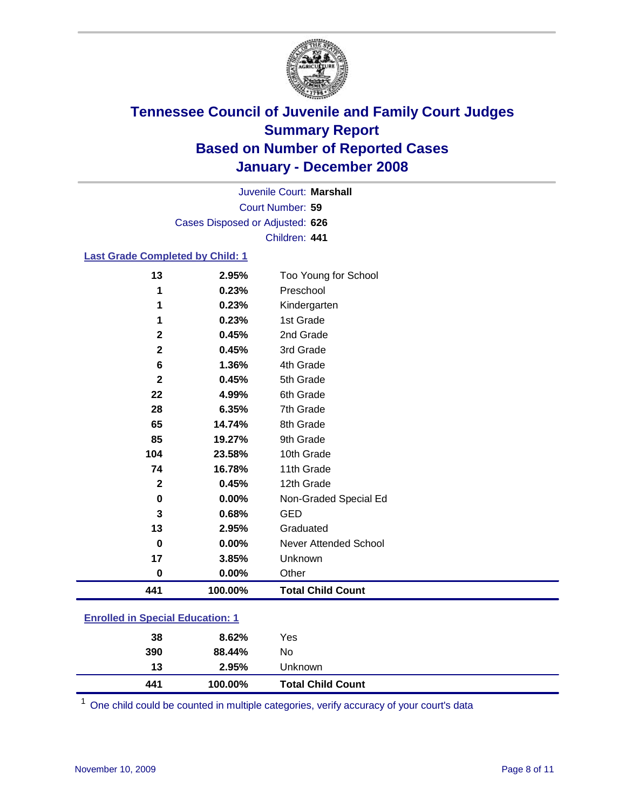

Court Number: **59** Juvenile Court: **Marshall** Cases Disposed or Adjusted: **626** Children: **441**

### **Last Grade Completed by Child: 1**

| 441          | 100.00% | <b>Total Child Count</b> |
|--------------|---------|--------------------------|
| $\bf{0}$     | 0.00%   | Other                    |
| 17           | 3.85%   | Unknown                  |
| $\mathbf 0$  | 0.00%   | Never Attended School    |
| 13           | 2.95%   | Graduated                |
| 3            | 0.68%   | <b>GED</b>               |
| $\pmb{0}$    | 0.00%   | Non-Graded Special Ed    |
| $\mathbf{2}$ | 0.45%   | 12th Grade               |
| 74           | 16.78%  | 11th Grade               |
| 104          | 23.58%  | 10th Grade               |
| 85           | 19.27%  | 9th Grade                |
| 65           | 14.74%  | 8th Grade                |
| 28           | 6.35%   | 7th Grade                |
| 22           | 4.99%   | 6th Grade                |
| $\mathbf{2}$ | 0.45%   | 5th Grade                |
| 6            | 1.36%   | 4th Grade                |
| $\mathbf{2}$ | 0.45%   | 3rd Grade                |
| $\mathbf{2}$ | 0.45%   | 2nd Grade                |
| 1            | 0.23%   | 1st Grade                |
| 1            | 0.23%   | Kindergarten             |
| 1            | 0.23%   | Preschool                |
| 13           | 2.95%   | Too Young for School     |

### **Enrolled in Special Education: 1**

| 390 | 88.44%  | No                       |  |
|-----|---------|--------------------------|--|
| 13  | 2.95%   | Unknown                  |  |
| 441 | 100.00% | <b>Total Child Count</b> |  |

One child could be counted in multiple categories, verify accuracy of your court's data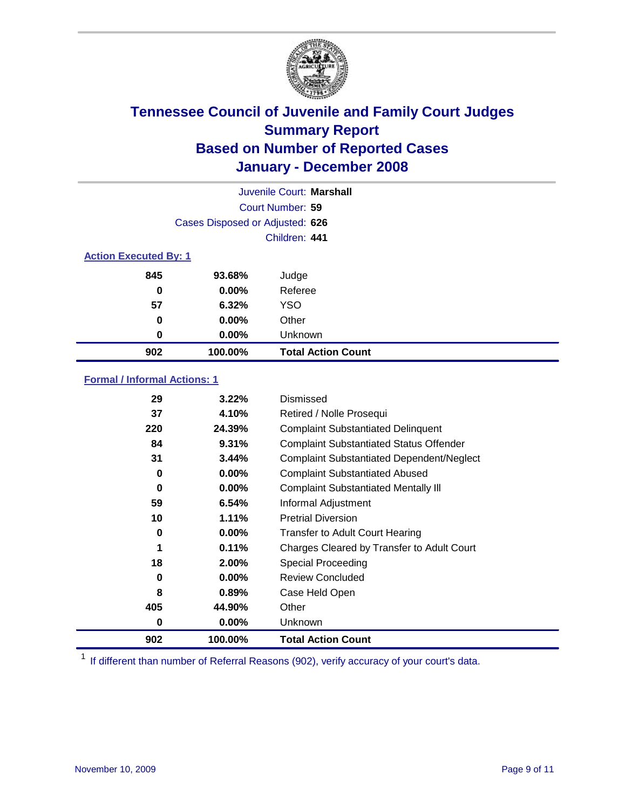

|                              |                                 | Juvenile Court: Marshall  |  |
|------------------------------|---------------------------------|---------------------------|--|
|                              | Court Number: 59                |                           |  |
|                              | Cases Disposed or Adjusted: 626 |                           |  |
|                              |                                 | Children: 441             |  |
| <b>Action Executed By: 1</b> |                                 |                           |  |
| 845                          | 93.68%                          | Judge                     |  |
| 0                            | $0.00\%$                        | Referee                   |  |
| 57                           | 6.32%                           | <b>YSO</b>                |  |
| 0                            | $0.00\%$                        | Other                     |  |
| 0                            | $0.00\%$                        | Unknown                   |  |
| 902                          | 100.00%                         | <b>Total Action Count</b> |  |

### **Formal / Informal Actions: 1**

| 29  | 3.22%    | Dismissed                                        |
|-----|----------|--------------------------------------------------|
| 37  | 4.10%    | Retired / Nolle Prosequi                         |
| 220 | 24.39%   | <b>Complaint Substantiated Delinquent</b>        |
| 84  | 9.31%    | <b>Complaint Substantiated Status Offender</b>   |
| 31  | 3.44%    | <b>Complaint Substantiated Dependent/Neglect</b> |
| 0   | $0.00\%$ | <b>Complaint Substantiated Abused</b>            |
| 0   | $0.00\%$ | <b>Complaint Substantiated Mentally III</b>      |
| 59  | 6.54%    | Informal Adjustment                              |
| 10  | 1.11%    | <b>Pretrial Diversion</b>                        |
| 0   | $0.00\%$ | <b>Transfer to Adult Court Hearing</b>           |
|     | 0.11%    | Charges Cleared by Transfer to Adult Court       |
| 18  | 2.00%    | Special Proceeding                               |
| 0   | $0.00\%$ | <b>Review Concluded</b>                          |
| 8   | 0.89%    | Case Held Open                                   |
| 405 | 44.90%   | Other                                            |
| 0   | $0.00\%$ | <b>Unknown</b>                                   |
| 902 | 100.00%  | <b>Total Action Count</b>                        |

<sup>1</sup> If different than number of Referral Reasons (902), verify accuracy of your court's data.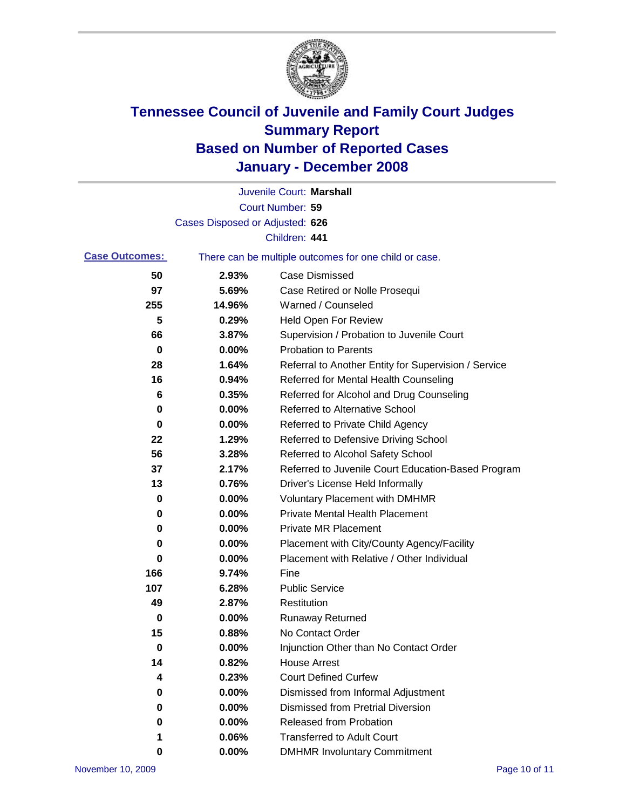

|                       |                                 | Juvenile Court: Marshall                              |
|-----------------------|---------------------------------|-------------------------------------------------------|
|                       |                                 | Court Number: 59                                      |
|                       | Cases Disposed or Adjusted: 626 |                                                       |
|                       |                                 | Children: 441                                         |
| <b>Case Outcomes:</b> |                                 | There can be multiple outcomes for one child or case. |
| 50                    | 2.93%                           | <b>Case Dismissed</b>                                 |
| 97                    | 5.69%                           | Case Retired or Nolle Prosequi                        |
| 255                   | 14.96%                          | Warned / Counseled                                    |
| 5                     | 0.29%                           | <b>Held Open For Review</b>                           |
| 66                    | 3.87%                           | Supervision / Probation to Juvenile Court             |
| 0                     | 0.00%                           | <b>Probation to Parents</b>                           |
| 28                    | 1.64%                           | Referral to Another Entity for Supervision / Service  |
| 16                    | 0.94%                           | Referred for Mental Health Counseling                 |
| 6                     | 0.35%                           | Referred for Alcohol and Drug Counseling              |
| 0                     | 0.00%                           | <b>Referred to Alternative School</b>                 |
| 0                     | 0.00%                           | Referred to Private Child Agency                      |
| 22                    | 1.29%                           | Referred to Defensive Driving School                  |
| 56                    | 3.28%                           | Referred to Alcohol Safety School                     |
| 37                    | 2.17%                           | Referred to Juvenile Court Education-Based Program    |
| 13                    | 0.76%                           | Driver's License Held Informally                      |
| 0                     | 0.00%                           | <b>Voluntary Placement with DMHMR</b>                 |
| 0                     | 0.00%                           | <b>Private Mental Health Placement</b>                |
| 0                     | 0.00%                           | Private MR Placement                                  |
| 0                     | 0.00%                           | Placement with City/County Agency/Facility            |
| 0                     | 0.00%                           | Placement with Relative / Other Individual            |
| 166                   | 9.74%                           | Fine                                                  |
| 107                   | 6.28%                           | <b>Public Service</b>                                 |
| 49                    | 2.87%                           | Restitution                                           |
| 0                     | 0.00%                           | <b>Runaway Returned</b>                               |
| 15                    | 0.88%                           | No Contact Order                                      |
| 0                     | 0.00%                           | Injunction Other than No Contact Order                |
| 14                    | 0.82%                           | <b>House Arrest</b>                                   |
| 4                     | 0.23%                           | <b>Court Defined Curfew</b>                           |
| 0                     | 0.00%                           | Dismissed from Informal Adjustment                    |
| 0                     | 0.00%                           | <b>Dismissed from Pretrial Diversion</b>              |
| 0                     | 0.00%                           | <b>Released from Probation</b>                        |
| 1                     | 0.06%                           | <b>Transferred to Adult Court</b>                     |
| 0                     | $0.00\%$                        | <b>DMHMR Involuntary Commitment</b>                   |